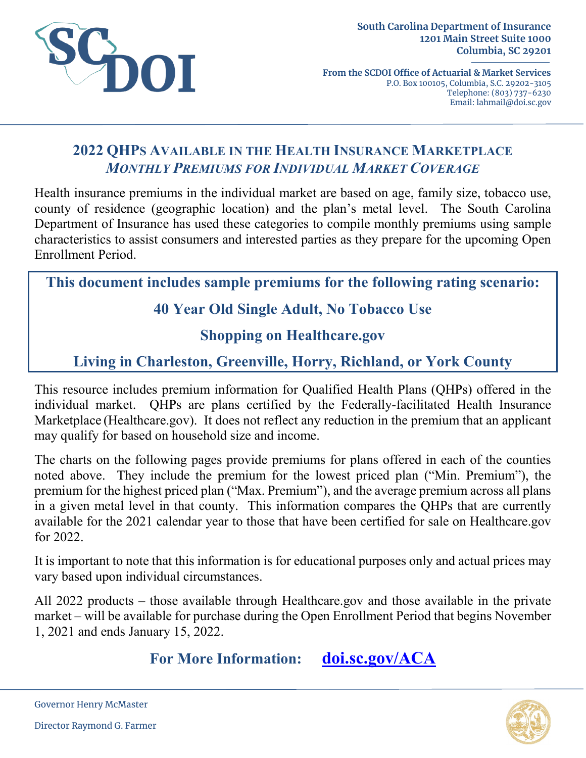

**From the SCDOI Office of Actuarial & Market Services** P.O. Box 100105, Columbia, S.C. 29202-3105 Telephone: (803) 737-6230 Email: lahmail@doi.sc.gov

# **2022 QHPS AVAILABLE IN THE HEALTH INSURANCE MARKETPLACE** *MONTHLY PREMIUMS FOR INDIVIDUAL MARKET COVERAGE*

Health insurance premiums in the individual market are based on age, family size, tobacco use, county of residence (geographic location) and the plan's metal level. The South Carolina Department of Insurance has used these categories to compile monthly premiums using sample characteristics to assist consumers and interested parties as they prepare for the upcoming Open Enrollment Period.

**This document includes sample premiums for the following rating scenario:**

# **40 Year Old Single Adult, No Tobacco Use**

### **Shopping on Healthcare.gov**

# **Living in Charleston, Greenville, Horry, Richland, or York County**

This resource includes premium information for Qualified Health Plans (QHPs) offered in the individual market. QHPs are plans certified by the Federally-facilitated Health Insurance Marketplace (Healthcare.gov). It does not reflect any reduction in the premium that an applicant may qualify for based on household size and income.

The charts on the following pages provide premiums for plans offered in each of the counties noted above. They include the premium for the lowest priced plan ("Min. Premium"), the premium for the highest priced plan ("Max. Premium"), and the average premium across all plans in a given metal level in that county. This information compares the QHPs that are currently available for the 2021 calendar year to those that have been certified for sale on Healthcare.gov for 2022.

It is important to note that this information is for educational purposes only and actual prices may vary based upon individual circumstances.

All 2022 products – those available through Healthcare.gov and those available in the private market – will be available for purchase during the Open Enrollment Period that begins November 1, 2021 and ends January 15, 2022.

**For More Information: [doi.sc.gov/ACA](http://doi.sc.gov/aca)**



Governor Henry McMaster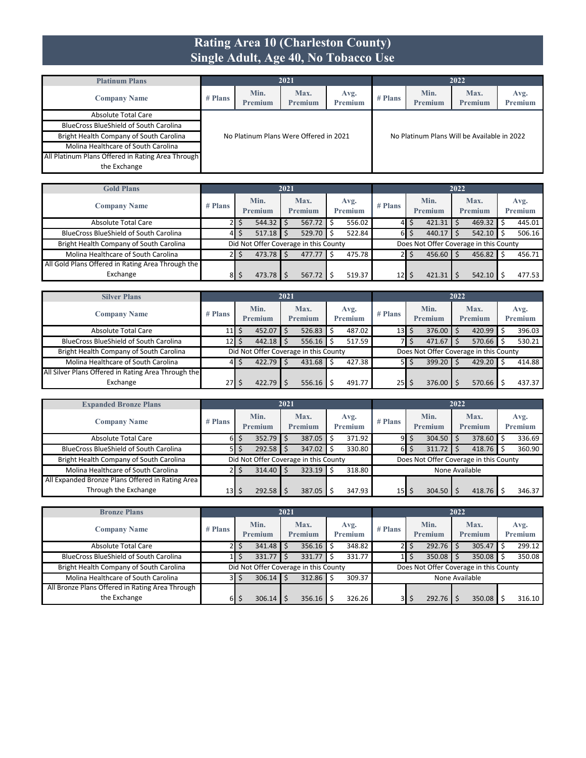#### **Rating Area 10 (Charleston County) Single Adult, Age 40, No Tobacco Use**

| <b>Platinum Plans</b>                             |         |                 | 2021                                   |                        |           |                                             | 2022            |                 |
|---------------------------------------------------|---------|-----------------|----------------------------------------|------------------------|-----------|---------------------------------------------|-----------------|-----------------|
| <b>Company Name</b>                               | # Plans | Min.<br>Premium | Max.<br>Premium                        | Avg.<br><b>Premium</b> | $#$ Plans | Min.<br><b>Premium</b>                      | Max.<br>Premium | Avg.<br>Premium |
| Absolute Total Care                               |         |                 |                                        |                        |           |                                             |                 |                 |
| <b>BlueCross BlueShield of South Carolina</b>     |         |                 |                                        |                        |           |                                             |                 |                 |
| Bright Health Company of South Carolina           |         |                 | No Platinum Plans Were Offered in 2021 |                        |           | No Platinum Plans Will be Available in 2022 |                 |                 |
| Molina Healthcare of South Carolina               |         |                 |                                        |                        |           |                                             |                 |                 |
| All Platinum Plans Offered in Rating Area Through |         |                 |                                        |                        |           |                                             |                 |                 |
| the Exchange                                      |         |                 |                                        |                        |           |                                             |                 |                 |

| <b>Gold Plans</b>                                 |           |                 | 2021 |                                       |   |                 |                 |    |                                        | 2022 |                 |                 |
|---------------------------------------------------|-----------|-----------------|------|---------------------------------------|---|-----------------|-----------------|----|----------------------------------------|------|-----------------|-----------------|
| <b>Company Name</b>                               | $#$ Plans | Min.<br>Premium |      | Max.<br>Premium                       |   | Avg.<br>Premium | $#$ Plans       |    | Min.<br>Premium                        |      | Max.<br>Premium | Avg.<br>Premium |
| Absolute Total Care                               |           | 544.32          |      | 567.72                                | S | 556.02          | 41              | S  | $421.31$ \$                            |      | 469.32          | 445.01          |
| <b>BlueCross BlueShield of South Carolina</b>     | 41        | 517.18          |      | 529.70                                |   | 522.84          | 61              | \$ | $440.17$ \$                            |      | $542.10$ \$     | 506.16          |
| Bright Health Company of South Carolina           |           |                 |      | Did Not Offer Coverage in this County |   |                 |                 |    | Does Not Offer Coverage in this County |      |                 |                 |
| Molina Healthcare of South Carolina               |           | 473.78          |      | 477.77                                | Ś | 475.78          |                 | S  | $456.60$ \$                            |      | $456.82$ \$     | 456.71          |
| All Gold Plans Offered in Rating Area Through the |           |                 |      |                                       |   |                 |                 |    |                                        |      |                 |                 |
| Exchange                                          | 81        | 473.78          |      | 567.72                                |   | 519.37          | 12 <sub>1</sub> |    | 421.31                                 |      | 542.10          | 477.53          |

| <b>Silver Plans</b>                                 |                 |                                       | 2021 |                        |    |                 |                               |       |                 | 2022 |                                        |                 |
|-----------------------------------------------------|-----------------|---------------------------------------|------|------------------------|----|-----------------|-------------------------------|-------|-----------------|------|----------------------------------------|-----------------|
| <b>Company Name</b>                                 | $#$ Plans       | Min.<br>Premium                       |      | Max.<br><b>Premium</b> |    | Avg.<br>Premium | $#$ Plans                     |       | Min.<br>Premium |      | Max.<br>Premium                        | Avg.<br>Premium |
| Absolute Total Care                                 | 11 I            | $452.07$ \$                           |      | 526.83                 | Ŝ. | 487.02          | $13$ $\overline{\phantom{1}}$ |       | 376.00          |      | $420.99$ \$                            | 396.03          |
| <b>BlueCross BlueShield of South Carolina</b>       | 12 I            | $442.18$ \$                           |      | 556.16                 | Ŝ. | 517.59          |                               |       | 471.67          |      | $570.66$ \$                            | 530.21          |
| Bright Health Company of South Carolina             |                 | Did Not Offer Coverage in this County |      |                        |    |                 |                               |       |                 |      | Does Not Offer Coverage in this County |                 |
| Molina Healthcare of South Carolina                 | 4               | $422.79$ \$                           |      | 431.68                 | Ŝ. | 427.38          |                               | 5 I S | 399.20          |      | 429.20                                 | 414.88          |
| All Silver Plans Offered in Rating Area Through the |                 |                                       |      |                        |    |                 |                               |       |                 |      |                                        |                 |
| Exchange                                            | 27 <sub>l</sub> | 422.79                                |      | 556.16                 |    | 491.77          | $25$   \$                     |       | 376.00          |      | 570.66                                 | 437.37          |

| <b>Expanded Bronze Plans</b>                     |                 |         | 2021 |                                       |   |                |                 |                 |                                        | 2022 |                |         |
|--------------------------------------------------|-----------------|---------|------|---------------------------------------|---|----------------|-----------------|-----------------|----------------------------------------|------|----------------|---------|
| <b>Company Name</b>                              | $#$ Plans       | Min.    |      | Max.                                  |   | Avg.           | $#$ Plans       |                 | Min.                                   |      | Max.           | Avg.    |
|                                                  |                 | Premium |      | <b>Premium</b>                        |   | <b>Premium</b> |                 |                 | Premium                                |      | <b>Premium</b> | Premium |
| Absolute Total Care                              | 6I              | 352.79  |      | 387.05                                |   | 371.92         |                 | $9 \mid S \mid$ | 304.50                                 |      | 378.60         | 336.69  |
| <b>BlueCross BlueShield of South Carolina</b>    | 51              | 292.58  |      | 347.02                                |   | 330.80         | 6I              |                 | 311.72                                 |      | 418.76         | 360.90  |
| Bright Health Company of South Carolina          |                 |         |      | Did Not Offer Coverage in this County |   |                |                 |                 | Does Not Offer Coverage in this County |      |                |         |
| Molina Healthcare of South Carolina              |                 | 314.40  |      | 323.19                                | Ś | 318.80         | None Available  |                 |                                        |      |                |         |
| All Expanded Bronze Plans Offered in Rating Area |                 |         |      |                                       |   |                |                 |                 |                                        |      |                |         |
| Through the Exchange                             | 13 <sub>l</sub> | 292.58  |      | 387.05                                |   | 347.93         | 15 <sup>1</sup> |                 | 304.50                                 |      | 418.76         | 346.37  |

| <b>Bronze Plans</b>                             |           |                               |                                       | 2021 |                        |    |                 |           |       |                 | 2022 |                                        |                 |
|-------------------------------------------------|-----------|-------------------------------|---------------------------------------|------|------------------------|----|-----------------|-----------|-------|-----------------|------|----------------------------------------|-----------------|
| <b>Company Name</b>                             | $#$ Plans | Min.<br>Premium<br>$341.48$ S |                                       |      | Max.<br><b>Premium</b> |    | Avg.<br>Premium | $#$ Plans |       | Min.<br>Premium |      | Max.<br>Premium                        | Avg.<br>Premium |
| <b>Absolute Total Care</b>                      | 21        | S                             |                                       |      | 356.16                 | Ŝ. | 348.82          |           | 2 I S | $292.76$ \$     |      | 305.47                                 | 299.12          |
| <b>BlueCross BlueShield of South Carolina</b>   |           |                               | 331.77                                |      | 331.77                 |    | 331.77          |           |       | 350.08          |      | $350.08$ \$                            | 350.08          |
| Bright Health Company of South Carolina         |           |                               | Did Not Offer Coverage in this County |      |                        |    |                 |           |       |                 |      | Does Not Offer Coverage in this County |                 |
| Molina Healthcare of South Carolina             |           | 3 I S                         | 306.14                                |      | 312.86                 |    | 309.37          |           |       |                 |      | None Available                         |                 |
| All Bronze Plans Offered in Rating Area Through |           |                               |                                       |      |                        |    |                 |           |       |                 |      |                                        |                 |
| the Exchange                                    | 61        |                               | 306.14                                |      | 356.16                 |    | 326.26          | 3I        | S     | 292.76          |      | 350.08                                 | 316.10          |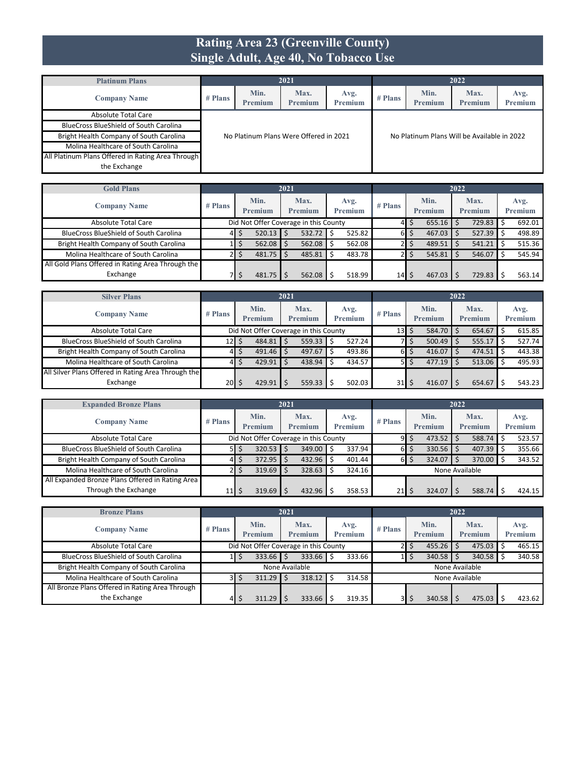#### **Rating Area 23 (Greenville County) Single Adult, Age 40, No Tobacco Use**

| <b>Platinum Plans</b>                             |         |                 | 2021                                   |                        |           |                                             | 2022            |                 |
|---------------------------------------------------|---------|-----------------|----------------------------------------|------------------------|-----------|---------------------------------------------|-----------------|-----------------|
| <b>Company Name</b>                               | # Plans | Min.<br>Premium | Max.<br><b>Premium</b>                 | Avg.<br><b>Premium</b> | $#$ Plans | Min.<br><b>Premium</b>                      | Max.<br>Premium | Avg.<br>Premium |
| Absolute Total Care                               |         |                 |                                        |                        |           |                                             |                 |                 |
| <b>BlueCross BlueShield of South Carolina</b>     |         |                 |                                        |                        |           |                                             |                 |                 |
| Bright Health Company of South Carolina           |         |                 | No Platinum Plans Were Offered in 2021 |                        |           | No Platinum Plans Will be Available in 2022 |                 |                 |
| Molina Healthcare of South Carolina               |         |                 |                                        |                        |           |                                             |                 |                 |
| All Platinum Plans Offered in Rating Area Through |         |                 |                                        |                        |           |                                             |                 |                 |
| the Exchange                                      |         |                 |                                        |                        |           |                                             |                 |                 |

| <b>Gold Plans</b>                                 |           |                 |             | 2021 |                                       |   |                        |           |   |                     | 2022 |                 |                 |
|---------------------------------------------------|-----------|-----------------|-------------|------|---------------------------------------|---|------------------------|-----------|---|---------------------|------|-----------------|-----------------|
| <b>Company Name</b>                               | $#$ Plans | Min.<br>Premium |             |      | Max.<br><b>Premium</b>                |   | Avg.<br><b>Premium</b> | $#$ Plans |   | Min.<br>Premium     |      | Max.<br>Premium | Avg.<br>Premium |
| Absolute Total Care                               |           |                 |             |      | Did Not Offer Coverage in this County |   |                        | 41        | S | $655.16$ \$         |      | $729.83$ \$     | 692.01          |
| <b>BlueCross BlueShield of South Carolina</b>     | 41        |                 | $520.13$ \$ |      | 532.72                                | S | 525.82                 | 61        | S | $467.03$ \$         |      | $527.39$ \$     | 498.89          |
| Bright Health Company of South Carolina           |           |                 | $562.08$ \$ |      | 562.08                                |   | 562.08                 |           |   | $489.51$   \$       |      | $541.21$ \$     | 515.36          |
| Molina Healthcare of South Carolina               |           |                 | $481.75$ \$ |      | 485.81                                |   | 483.78                 |           |   | $545.81$ $\sqrt{5}$ |      | $546.07$ \$     | 545.94          |
| All Gold Plans Offered in Rating Area Through the |           |                 |             |      |                                       |   |                        |           |   |                     |      |                 |                 |
| Exchange                                          |           |                 | $481.75$ \$ |      | 562.08                                |   | 518.99                 | 14        | Ś | $467.03$ S          |      | 729.83          | 563.14          |

| <b>Silver Plans</b>                                 |           |                                                              |             | 2021                   |  |                        |           |    |                        | 2022   |                        |                 |
|-----------------------------------------------------|-----------|--------------------------------------------------------------|-------------|------------------------|--|------------------------|-----------|----|------------------------|--------|------------------------|-----------------|
| <b>Company Name</b>                                 | $#$ Plans | Min.<br><b>Premium</b>                                       |             | Max.<br><b>Premium</b> |  | Avg.<br><b>Premium</b> | $#$ Plans |    | Min.<br><b>Premium</b> |        | Max.<br><b>Premium</b> | Avg.<br>Premium |
| Absolute Total Care                                 |           | Did Not Offer Coverage in this County<br>584.70<br>13 I<br>S |             |                        |  |                        |           |    | 654.67                 | 615.85 |                        |                 |
| <b>BlueCross BlueShield of South Carolina</b>       | 12        |                                                              | 484.81      | 559.33                 |  | \$<br>527.24           |           |    | 500.49                 |        | 555.17                 | 527.74          |
| Bright Health Company of South Carolina             | 41        |                                                              | $491.46$ \$ | 497.67                 |  | 493.86<br>Ŝ            | 6I        | \$ | 416.07                 |        | 474.51                 | 443.38          |
| Molina Healthcare of South Carolina                 | 4         |                                                              | 429.91      | 438.94                 |  | 434.57                 |           | S  | 477.19                 |        | $513.06$ \$            | 495.93          |
| All Silver Plans Offered in Rating Area Through the |           |                                                              |             |                        |  |                        |           |    |                        |        |                        |                 |
| Exchange                                            | 20        |                                                              | 429.91      | 559.33                 |  | 502.03                 | 31        |    | 416.07                 |        | 654.67                 | 543.23          |

| <b>Expanded Bronze Plans</b>                     |                 |                                                   |             | 2021 |                                       |  |                |           |    |                | 2022 |                |         |
|--------------------------------------------------|-----------------|---------------------------------------------------|-------------|------|---------------------------------------|--|----------------|-----------|----|----------------|------|----------------|---------|
|                                                  |                 |                                                   | Min.        |      | Max.                                  |  | Avg.           |           |    | Min.           |      | Max.           | Avg.    |
| <b>Company Name</b>                              | $#$ Plans       |                                                   | Premium     |      | <b>Premium</b>                        |  | <b>Premium</b> | $#$ Plans |    | <b>Premium</b> |      | <b>Premium</b> | Premium |
| Absolute Total Care                              |                 |                                                   |             |      | Did Not Offer Coverage in this County |  |                | 9I        | \$ | 473.52         |      | 588.74 \$      | 523.57  |
| <b>BlueCross BlueShield of South Carolina</b>    | 51              |                                                   | $320.53$ \$ |      | 349.00                                |  | 337.94         | 6I        | S  | 330.56         |      | $407.39$ \$    | 355.66  |
| Bright Health Company of South Carolina          | 41              |                                                   | $372.95$ \$ |      | 432.96                                |  | 401.44         | 6I        | S  | 324.07         |      | 370.00 \$      | 343.52  |
| Molina Healthcare of South Carolina              |                 | $319.69$ \$<br>328.63<br>324.16<br>None Available |             |      |                                       |  |                |           |    |                |      |                |         |
| All Expanded Bronze Plans Offered in Rating Area |                 |                                                   |             |      |                                       |  |                |           |    |                |      |                |         |
| Through the Exchange                             | 11 <sub>l</sub> |                                                   | $319.69$ S  |      | 432.96                                |  | 358.53         | 21        | S  | 324.07         |      | 588.74         | 424.15  |

| <b>Bronze Plans</b>                             |                                                       |                 | 2021                                  |                        |                |                 | 2022            |                 |
|-------------------------------------------------|-------------------------------------------------------|-----------------|---------------------------------------|------------------------|----------------|-----------------|-----------------|-----------------|
| <b>Company Name</b>                             | $#$ Plans                                             | Min.<br>Premium | Max.<br>Premium                       | Avg.<br><b>Premium</b> | # Plans        | Min.<br>Premium | Max.<br>Premium | Avg.<br>Premium |
| <b>Absolute Total Care</b>                      |                                                       |                 | Did Not Offer Coverage in this County |                        |                | 455.26<br>S     | $475.03$ \$     | 465.15          |
| <b>BlueCross BlueShield of South Carolina</b>   |                                                       | $333.66$ \$     | 333.66                                | 333.66                 |                | 340.58          | $340.58$ \$     | 340.58          |
| Bright Health Company of South Carolina         | None Available                                        |                 |                                       |                        |                |                 | None Available  |                 |
| Molina Healthcare of South Carolina             | 318.12<br>311.29<br>314.58<br>None Available<br>3 I S |                 |                                       |                        |                |                 |                 |                 |
| All Bronze Plans Offered in Rating Area Through |                                                       |                 |                                       |                        |                |                 |                 |                 |
| the Exchange                                    | 41                                                    | 311.29          | 333.66                                | 319.35                 | 3 <sup>1</sup> | 340.58<br>S     | 475.03          | 423.62          |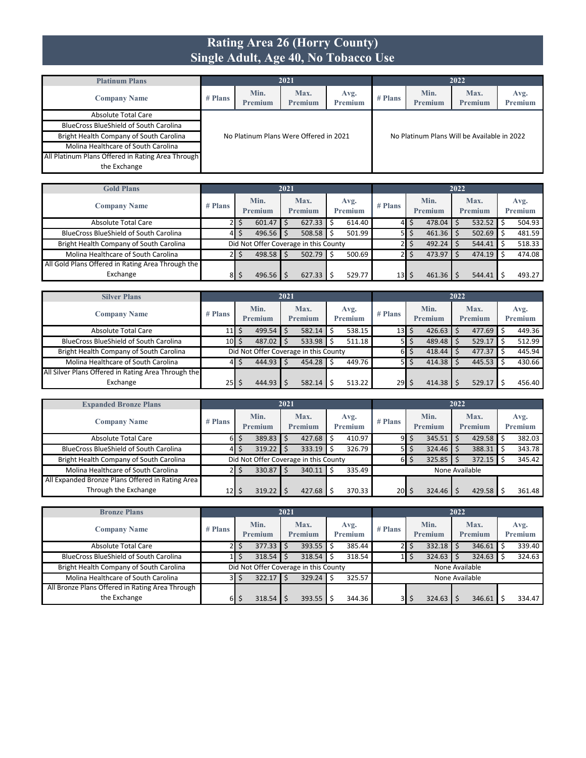#### **Rating Area 26 (Horry County) Single Adult, Age 40, No Tobacco Use**

| <b>Platinum Plans</b>                             |         |                 | 2021                                   |                        |           |                                             | 2022            |                 |
|---------------------------------------------------|---------|-----------------|----------------------------------------|------------------------|-----------|---------------------------------------------|-----------------|-----------------|
| <b>Company Name</b>                               | # Plans | Min.<br>Premium | Max.<br><b>Premium</b>                 | Avg.<br><b>Premium</b> | $#$ Plans | Min.<br><b>Premium</b>                      | Max.<br>Premium | Avg.<br>Premium |
| Absolute Total Care                               |         |                 |                                        |                        |           |                                             |                 |                 |
| <b>BlueCross BlueShield of South Carolina</b>     |         |                 |                                        |                        |           |                                             |                 |                 |
| Bright Health Company of South Carolina           |         |                 | No Platinum Plans Were Offered in 2021 |                        |           | No Platinum Plans Will be Available in 2022 |                 |                 |
| Molina Healthcare of South Carolina               |         |                 |                                        |                        |           |                                             |                 |                 |
| All Platinum Plans Offered in Rating Area Through |         |                 |                                        |                        |           |                                             |                 |                 |
| the Exchange                                      |         |                 |                                        |                        |           |                                             |                 |                 |

| <b>Gold Plans</b>                                 |           |                 | 2021 |                                       |   |                 |                 |   |                 | 2022 |                 |                 |
|---------------------------------------------------|-----------|-----------------|------|---------------------------------------|---|-----------------|-----------------|---|-----------------|------|-----------------|-----------------|
| <b>Company Name</b>                               | $#$ Plans | Min.<br>Premium |      | Max.<br><b>Premium</b>                |   | Avg.<br>Premium | $#$ Plans       |   | Min.<br>Premium |      | Max.<br>Premium | Avg.<br>Premium |
| Absolute Total Care                               |           | 601.47          |      | 627.33                                | Ŝ | 614.40          | 41              | S | $478.04$ \$     |      | 532.52          | 504.93          |
| <b>BlueCross BlueShield of South Carolina</b>     | 41        | $496.56$ \$     |      | 508.58                                | S | 501.99          |                 | ∍ | $461.36$ \$     |      | $502.69$ \$     | 481.59          |
| Bright Health Company of South Carolina           |           |                 |      | Did Not Offer Coverage in this County |   |                 |                 |   | $492.24$ \$     |      | 544.41          | 518.33          |
| Molina Healthcare of South Carolina               |           | $498.58$ \$     |      | $502.79$ \$                           |   | 500.69          |                 |   | $473.97$ \$     |      | $474.19$ \$     | 474.08          |
| All Gold Plans Offered in Rating Area Through the |           |                 |      |                                       |   |                 |                 |   |                 |      |                 |                 |
| Exchange                                          | 81        | $496.56$ S      |      | 627.33                                |   | 529.77          | 13 <sub>l</sub> |   | $461.36$ \$     |      | 544.41          | 493.27          |

| <b>Silver Plans</b>                                 |             |                        | 2021 |                                       |    |                 |                 |        |                        | 2022 |                 |                 |
|-----------------------------------------------------|-------------|------------------------|------|---------------------------------------|----|-----------------|-----------------|--------|------------------------|------|-----------------|-----------------|
| <b>Company Name</b>                                 | $#$ Plans   | Min.<br><b>Premium</b> |      | Max.<br>Premium                       |    | Avg.<br>Premium | $#$ Plans       |        | Min.<br><b>Premium</b> |      | Max.<br>Premium | Avg.<br>Premium |
| <b>Absolute Total Care</b>                          | 11 I        | 499.54                 |      | 582.14                                | Ŝ. | 538.15          | 13 <sup>1</sup> | Ŝ      | 426.63                 |      | 477.69          | 449.36          |
| <b>BlueCross BlueShield of South Carolina</b>       | $10 \mid 5$ | 487.02                 |      | 533.98                                | Ŝ  | 511.18          |                 | 5 I \$ | 489.48                 |      | 529.17          | 512.99          |
| Bright Health Company of South Carolina             |             |                        |      | Did Not Offer Coverage in this County |    |                 | 61              | \$     | 418.44                 |      | 477.37          | 445.94          |
| Molina Healthcare of South Carolina                 | 41          | 444.93                 |      | 454.28                                |    | 449.76          | 51              | Ŝ      | 414.38                 |      | 445.53          | 430.66          |
| All Silver Plans Offered in Rating Area Through the |             |                        |      |                                       |    |                 |                 |        |                        |      |                 |                 |
| Exchange                                            | 25          | 444.93                 |      | 582.14                                |    | 513.22          | 29              |        | 414.38                 |      | 529.17          | 456.40          |

| <b>Expanded Bronze Plans</b>                     |                 |         | 2021 |                                       |   |                |                 |   |         | 2022 |                |                |
|--------------------------------------------------|-----------------|---------|------|---------------------------------------|---|----------------|-----------------|---|---------|------|----------------|----------------|
|                                                  | $#$ Plans       | Min.    |      | Max.                                  |   | Avg.           | $#$ Plans       |   | Min.    |      | Max.           | Avg.           |
| <b>Company Name</b>                              |                 | Premium |      | <b>Premium</b>                        |   | <b>Premium</b> |                 |   | Premium |      | <b>Premium</b> | <b>Premium</b> |
| Absolute Total Care                              | 6I              | 389.83  |      | 427.68                                |   | 410.97         | 91              | S | 345.51  |      | $429.58$ \$    | 382.03         |
| <b>BlueCross BlueShield of South Carolina</b>    | 41              | 319.22  |      | 333.19                                |   | 326.79         | 51              |   | 324.46  |      | 388.31         | 343.78         |
| Bright Health Company of South Carolina          |                 |         |      | Did Not Offer Coverage in this County |   |                | 61              | S | 325.85  |      | $372.15$ \$    | 345.42         |
| Molina Healthcare of South Carolina              | 21              | 330.87  |      | 340.11                                | Ś | 335.49         | None Available  |   |         |      |                |                |
| All Expanded Bronze Plans Offered in Rating Area |                 |         |      |                                       |   |                |                 |   |         |      |                |                |
| Through the Exchange                             | 12 <sub>l</sub> | 319.22  |      | 427.68                                |   | 370.33         | 20 <sup>2</sup> |   | 324.46  |      | 429.58         | 361.48         |

| <b>Bronze Plans</b>                             |         |   |                                       | 2021 |                        |     |                        |                |   |                 | 2022 |                        |                 |
|-------------------------------------------------|---------|---|---------------------------------------|------|------------------------|-----|------------------------|----------------|---|-----------------|------|------------------------|-----------------|
| <b>Company Name</b>                             | # Plans |   | Min.<br>Premium                       |      | Max.<br><b>Premium</b> |     | Avg.<br><b>Premium</b> | $#$ Plans      |   | Min.<br>Premium |      | Max.<br><b>Premium</b> | Avg.<br>Premium |
| <b>Absolute Total Care</b>                      | 21      | S | $377.33$ \$                           |      | $393.55$ \$            |     | 385.44                 |                | S | 332.18          |      | $346.61$ \$            | 339.40          |
| <b>BlueCross BlueShield of South Carolina</b>   |         |   | $318.54$ \$                           |      | 318.54                 |     | 318.54                 |                |   | 324.63          |      | 324.63                 | 324.63          |
| Bright Health Company of South Carolina         |         |   | Did Not Offer Coverage in this County |      |                        |     |                        | None Available |   |                 |      |                        |                 |
| Molina Healthcare of South Carolina             | 3I      |   | $322.17$ \$                           |      | 329.24                 | l S | 325.57                 |                |   | None Available  |      |                        |                 |
| All Bronze Plans Offered in Rating Area Through |         |   |                                       |      |                        |     |                        |                |   |                 |      |                        |                 |
| the Exchange                                    | 6I      |   | 318.54                                |      | 393.55                 |     | 344.36                 | 31             | S | 324.63          |      | 346.61                 | 334.47          |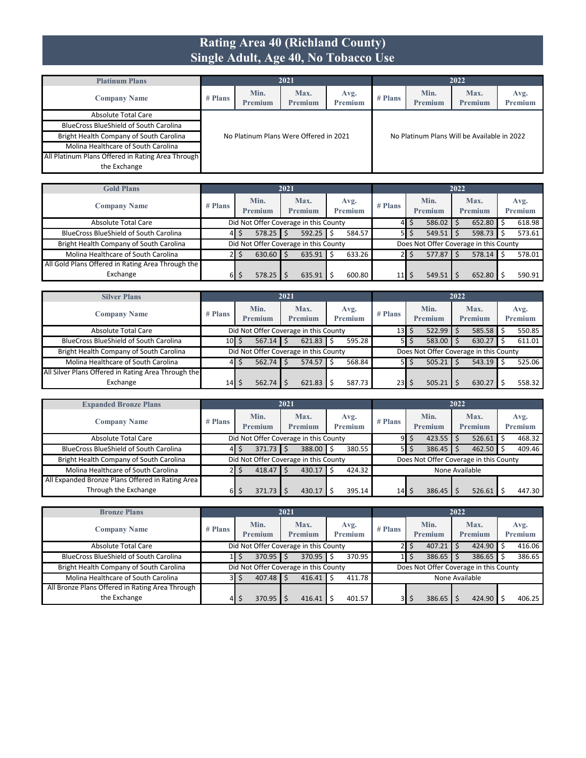#### **Rating Area 40 (Richland County) Single Adult, Age 40, No Tobacco Use**

| <b>Platinum Plans</b>                             |         |                 | 2021                                   |                 |           |                                             | 2022            |                 |
|---------------------------------------------------|---------|-----------------|----------------------------------------|-----------------|-----------|---------------------------------------------|-----------------|-----------------|
| <b>Company Name</b>                               | # Plans | Min.<br>Premium | Max.<br>Premium                        | Avg.<br>Premium | $#$ Plans | Min.<br>Premium                             | Max.<br>Premium | Avg.<br>Premium |
| Absolute Total Care                               |         |                 |                                        |                 |           |                                             |                 |                 |
| <b>BlueCross BlueShield of South Carolina</b>     |         |                 |                                        |                 |           |                                             |                 |                 |
| Bright Health Company of South Carolina           |         |                 | No Platinum Plans Were Offered in 2021 |                 |           | No Platinum Plans Will be Available in 2022 |                 |                 |
| Molina Healthcare of South Carolina               |         |                 |                                        |                 |           |                                             |                 |                 |
| All Platinum Plans Offered in Rating Area Through |         |                 |                                        |                 |           |                                             |                 |                 |
| the Exchange                                      |         |                 |                                        |                 |           |                                             |                 |                 |

| <b>Gold Plans</b>                                 |           |                                       | 2021 |                        |   |                 |           |    |                                        | 2022 |                 |                 |
|---------------------------------------------------|-----------|---------------------------------------|------|------------------------|---|-----------------|-----------|----|----------------------------------------|------|-----------------|-----------------|
| <b>Company Name</b>                               | $#$ Plans | Min.<br>Premium                       |      | Max.<br><b>Premium</b> |   | Avg.<br>Premium | $#$ Plans |    | Min.<br>Premium                        |      | Max.<br>Premium | Avg.<br>Premium |
| Absolute Total Care                               |           | Did Not Offer Coverage in this County |      |                        |   |                 | 41        | S  | $586.02$ \$                            |      | $652.80$ \$     | 618.98          |
| <b>BlueCross BlueShield of South Carolina</b>     | 41        | 578.25                                |      | 592.25                 | Ś | 584.57          | -5 I      | \$ | $549.51$ $\frac{1}{5}$                 |      | $598.73$ \$     | 573.61          |
| Bright Health Company of South Carolina           |           | Did Not Offer Coverage in this County |      |                        |   |                 |           |    | Does Not Offer Coverage in this County |      |                 |                 |
| Molina Healthcare of South Carolina               |           | 630.60                                |      | 635.91                 | Ś | 633.26          |           | S  | $577.87$ S                             |      | $578.14$ \$     | 578.01          |
| All Gold Plans Offered in Rating Area Through the |           |                                       |      |                        |   |                 |           |    |                                        |      |                 |                 |
| Exchange                                          | 6I        | 578.25                                |      | 635.91                 |   | 600.80          | 11        | S  | 549.51                                 |      | 652.80          | 590.91          |

| <b>Silver Plans</b>                                 |           |                 |            | 2021                                  |   |                        |                                  |                   |                                        | 2022 |                        |                 |
|-----------------------------------------------------|-----------|-----------------|------------|---------------------------------------|---|------------------------|----------------------------------|-------------------|----------------------------------------|------|------------------------|-----------------|
| <b>Company Name</b>                                 | $#$ Plans | Min.<br>Premium |            | Max.<br><b>Premium</b>                |   | Avg.<br><b>Premium</b> | $#$ Plans                        |                   | Min.<br>Premium                        |      | Max.<br><b>Premium</b> | Avg.<br>Premium |
| Absolute Total Care                                 |           |                 |            | Did Not Offer Coverage in this County |   |                        | 13 <sup>1</sup>                  | Ś                 | 522.99                                 |      | $585.58$ \$            | 550.85          |
| <b>BlueCross BlueShield of South Carolina</b>       | $10$ S    |                 | 567.14     | 621.83                                |   | 595.28                 |                                  | $5$ $\frac{2}{3}$ | 583.00                                 |      | 630.27                 | 611.01          |
| Bright Health Company of South Carolina             |           |                 |            | Did Not Offer Coverage in this County |   |                        |                                  |                   | Does Not Offer Coverage in this County |      |                        |                 |
| Molina Healthcare of South Carolina                 | 41        |                 | $562.74$ S | 574.57                                | Ŝ | 568.84                 |                                  | $51$ \$           | 505.21                                 |      | $543.19$ \$            | 525.06          |
| All Silver Plans Offered in Rating Area Through the |           |                 |            |                                       |   |                        |                                  |                   |                                        |      |                        |                 |
| Exchange                                            | $14$ S    |                 | 562.74     | 621.83                                |   | 587.73                 | $23$ $\overline{\phantom{1}}$ \$ |                   | 505.21                                 |      | 630.27                 | 558.32          |

| <b>Expanded Bronze Plans</b>                     |           |                                       | 2021 |                 |   |                 |                 |    |                                        | 2022 |                 |  |                 |
|--------------------------------------------------|-----------|---------------------------------------|------|-----------------|---|-----------------|-----------------|----|----------------------------------------|------|-----------------|--|-----------------|
| <b>Company Name</b>                              | $#$ Plans | Min.<br>Premium                       |      | Max.<br>Premium |   | Avg.<br>Premium | $#$ Plans       |    | Min.<br>Premium                        |      | Max.<br>Premium |  | Avg.<br>Premium |
| Absolute Total Care                              |           | Did Not Offer Coverage in this County |      |                 |   |                 | 91              | Ś  | 423.55                                 |      | $526.61$ \$     |  | 468.32          |
| <b>BlueCross BlueShield of South Carolina</b>    | 41        | $371.73$ $\frac{1}{5}$                |      | 388.00          | Ŝ | 380.55          | 5               | \$ | 386.45                                 |      | $462.50$ \$     |  | 409.46          |
| Bright Health Company of South Carolina          |           | Did Not Offer Coverage in this County |      |                 |   |                 |                 |    | Does Not Offer Coverage in this County |      |                 |  |                 |
| Molina Healthcare of South Carolina              |           | $418.47$ \$                           |      | 430.17          | Ś | 424.32          | None Available  |    |                                        |      |                 |  |                 |
| All Expanded Bronze Plans Offered in Rating Area |           |                                       |      |                 |   |                 |                 |    |                                        |      |                 |  |                 |
| Through the Exchange                             | 61        | $371.73$ S                            |      | 430.17          |   | 395.14          | 14 <sub>1</sub> | S  | 386.45                                 |      | 526.61          |  | 447.30          |

| <b>Bronze Plans</b>                             |           |                 | 2021                                  |                        |           |                 | 2022                                   |                 |
|-------------------------------------------------|-----------|-----------------|---------------------------------------|------------------------|-----------|-----------------|----------------------------------------|-----------------|
| <b>Company Name</b>                             | $#$ Plans | Min.<br>Premium | Max.<br><b>Premium</b>                | Avg.<br><b>Premium</b> | $#$ Plans | Min.<br>Premium | Max.<br>Premium                        | Avg.<br>Premium |
| <b>Absolute Total Care</b>                      |           |                 | Did Not Offer Coverage in this County |                        |           | 407.21<br>\$    | $424.90$ \$                            | 416.06          |
| <b>BlueCross BlueShield of South Carolina</b>   |           | $370.95$ \$     | 370.95                                | 370.95                 |           | 386.65          | $386.65$ \$                            | 386.65          |
| Bright Health Company of South Carolina         |           |                 | Did Not Offer Coverage in this County |                        |           |                 | Does Not Offer Coverage in this County |                 |
| Molina Healthcare of South Carolina             | ЗΙ.       | $407.48$ S      | 416.41                                | 411.78                 |           |                 | None Available                         |                 |
| All Bronze Plans Offered in Rating Area Through |           |                 |                                       |                        |           |                 |                                        |                 |
| the Exchange                                    | 41        | 370.95          | 416.41                                | 401.57                 | 3I        | 386.65<br>S     | $424.90$ \$                            | 406.25          |